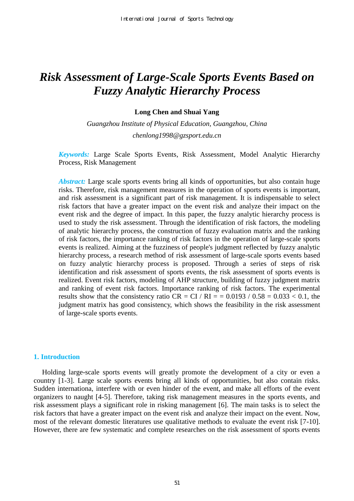# *Risk Assessment of Large-Scale Sports Events Based on Fuzzy Analytic Hierarchy Process*

# **Long Chen and Shuai Yang**

*Guangzhou Institute of Physical Education, Guangzhou, China [chenlong1998@gzsport.edu.cn](http://chenlong1998@gzsport.edu.cn/)*

*Keywords:* Large Scale Sports Events, Risk Assessment, Model Analytic Hierarchy Process, Risk Management

*Abstract:* Large scale sports events bring all kinds of opportunities, but also contain huge risks. Therefore, risk management measures in the operation of sports events is important, and risk assessment is a significant part of risk management. It is indispensable to select risk factors that have a greater impact on the event risk and analyze their impact on the event risk and the degree of impact. In this paper, the fuzzy analytic hierarchy process is used to study the risk assessment. Through the identification of risk factors, the modeling of analytic hierarchy process, the construction of fuzzy evaluation matrix and the ranking of risk factors, the importance ranking of risk factors in the operation of large-scale sports events is realized. Aiming at the fuzziness of people's judgment reflected by fuzzy analytic hierarchy process, a research method of risk assessment of large-scale sports events based on fuzzy analytic hierarchy process is proposed. Through a series of steps of risk identification and risk assessment of sports events, the risk assessment of sports events is realized. Event risk factors, modeling of AHP structure, building of fuzzy judgment matrix and ranking of event risk factors. Importance ranking of risk factors. The experimental results show that the consistency ratio  $CR = CI / RI = 0.0193 / 0.58 = 0.033 < 0.1$ , the judgment matrix has good consistency, which shows the feasibility in the risk assessment of large-scale sports events.

#### **1. Introduction**

Holding large-scale sports events will greatly promote the development of a city or even a country [1-3]. Large scale sports events bring all kinds of opportunities, but also contain risks. Sudden internationa, interfere with or even hinder of the event, and make all efforts of the event organizers to naught [4-5]. Therefore, taking risk management measures in the sports events, and risk assessment plays a significant role in risking management [6]. The main tasks is to select the risk factors that have a greater impact on the event risk and analyze their impact on the event. Now, most of the relevant domestic literatures use qualitative methods to evaluate the event risk [7-10]. However, there are few systematic and complete researches on the risk assessment of sports events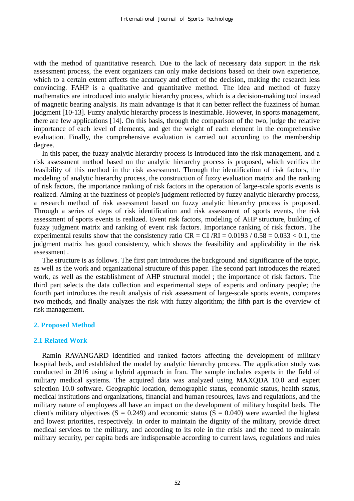with the method of quantitative research. Due to the lack of necessary data support in the risk assessment process, the event organizers can only make decisions based on their own experience, which to a certain extent affects the accuracy and effect of the decision, making the research less convincing. FAHP is a qualitative and quantitative method. The idea and method of fuzzy mathematics are introduced into analytic hierarchy process, which is a decision-making tool instead of magnetic bearing analysis. Its main advantage is that it can better reflect the fuzziness of human judgment [10-13]. Fuzzy analytic hierarchy process is inestimable. However, in sports management, there are few applications [14]. On this basis, through the comparison of the two, judge the relative importance of each level of elements, and get the weight of each element in the comprehensive evaluation. Finally, the comprehensive evaluation is carried out according to the membership degree.

In this paper, the fuzzy analytic hierarchy process is introduced into the risk management, and a risk assessment method based on the analytic hierarchy process is proposed, which verifies the feasibility of this method in the risk assessment. Through the identification of risk factors, the modeling of analytic hierarchy process, the construction of fuzzy evaluation matrix and the ranking of risk factors, the importance ranking of risk factors in the operation of large-scale sports events is realized. Aiming at the fuzziness of people's judgment reflected by fuzzy analytic hierarchy process, a research method of risk assessment based on fuzzy analytic hierarchy process is proposed. Through a series of steps of risk identification and risk assessment of sports events, the risk assessment of sports events is realized. Event risk factors, modeling of AHP structure, building of fuzzy judgment matrix and ranking of event risk factors. Importance ranking of risk factors. The experimental results show that the consistency ratio  $CR = CI/RI = 0.0193 / 0.58 = 0.033 < 0.1$ , the judgment matrix has good consistency, which shows the feasibility and applicability in the risk assessment .

The structure is as follows. The first part introduces the background and significance of the topic, as well as the work and organizational structure of this paper. The second part introduces the related work, as well as the establishment of AHP structural model ; the importance of risk factors. The third part selects the data collection and experimental steps of experts and ordinary people; the fourth part introduces the result analysis of risk assessment of large-scale sports events, compares two methods, and finally analyzes the risk with fuzzy algorithm; the fifth part is the overview of risk management.

# **2. Proposed Method**

#### **2.1 Related Work**

Ramin RAVANGARD identified and ranked factors affecting the development of military hospital beds, and established the model by analytic hierarchy process. The application study was conducted in 2016 using a hybrid approach in Iran. The sample includes experts in the field of military medical systems. The acquired data was analyzed using MAXQDA 10.0 and expert selection 10.0 software. Geographic location, demographic status, economic status, health status, medical institutions and organizations, financial and human resources, laws and regulations, and the military nature of employees all have an impact on the development of military hospital beds. The client's military objectives  $(S = 0.249)$  and economic status  $(S = 0.040)$  were awarded the highest and lowest priorities, respectively. In order to maintain the dignity of the military, provide direct medical services to the military, and according to its role in the crisis and the need to maintain military security, per capita beds are indispensable according to current laws, regulations and rules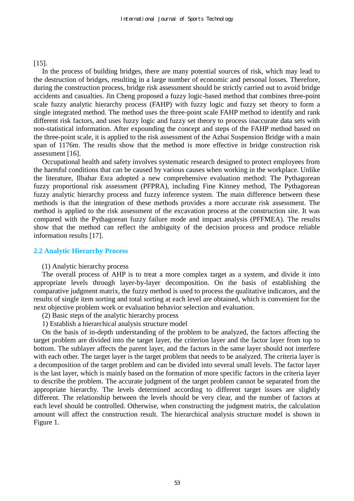# [15].

In the process of building bridges, there are many potential sources of risk, which may lead to the destruction of bridges, resulting in a large number of economic and personal losses. Therefore, during the construction process, bridge risk assessment should be strictly carried out to avoid bridge accidents and casualties. Jin Cheng proposed a fuzzy logic-based method that combines three-point scale fuzzy analytic hierarchy process (FAHP) with fuzzy logic and fuzzy set theory to form a single integrated method. The method uses the three-point scale FAHP method to identify and rank different risk factors, and uses fuzzy logic and fuzzy set theory to process inaccurate data sets with non-statistical information. After expounding the concept and steps of the FAHP method based on the three-point scale, it is applied to the risk assessment of the Azhai Suspension Bridge with a main span of 1176m. The results show that the method is more effective in bridge construction risk assessment [16].

Occupational health and safety involves systematic research designed to protect employees from the harmful conditions that can be caused by various causes when working in the workplace. Unlike the literature, Ilbahar Esra adopted a new comprehensive evaluation method: The Pythagorean fuzzy proportional risk assessment (PFPRA), including Fine Kinney method, The Pythagorean fuzzy analytic hierarchy process and fuzzy inference system. The main difference between these methods is that the integration of these methods provides a more accurate risk assessment. The method is applied to the risk assessment of the excavation process at the construction site. It was compared with the Pythagorean fuzzy failure mode and impact analysis (PFFMEA). The results show that the method can reflect the ambiguity of the decision process and produce reliable information results [17].

#### **2.2 Analytic Hierarchy Process**

# (1) Analytic hierarchy process

The overall process of AHP is to treat a more complex target as a system, and divide it into appropriate levels through layer-by-layer decomposition. On the basis of establishing the comparative judgment matrix, the fuzzy method is used to process the qualitative indicators, and the results of single item sorting and total sorting at each level are obtained, which is convenient for the next objective problem work or evaluation behavior selection and evaluation.

- (2) Basic steps of the analytic hierarchy process
- 1) Establish a hierarchical analysis structure model

On the basis of in-depth understanding of the problem to be analyzed, the factors affecting the target problem are divided into the target layer, the criterion layer and the factor layer from top to bottom. The sublayer affects the parent layer, and the factors in the same layer should not interfere with each other. The target layer is the target problem that needs to be analyzed. The criteria layer is a decomposition of the target problem and can be divided into several small levels. The factor layer is the last layer, which is mainly based on the formation of more specific factors in the criteria layer to describe the problem. The accurate judgment of the target problem cannot be separated from the appropriate hierarchy. The levels determined according to different target issues are slightly different. The relationship between the levels should be very clear, and the number of factors at each level should be controlled. Otherwise, when constructing the judgment matrix, the calculation amount will affect the construction result. The hierarchical analysis structure model is shown in Figure 1.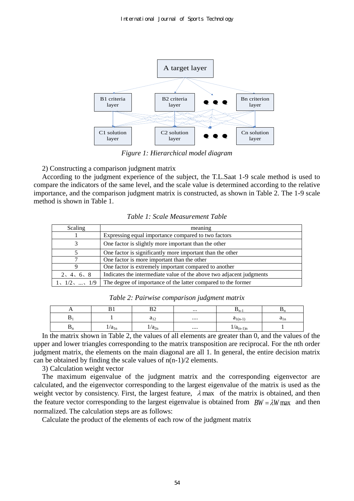

*Figure 1: Hierarchical model diagram* 

2) Constructing a comparison judgment matrix

According to the judgment experience of the subject, the T.L.Saat 1-9 scale method is used to compare the indicators of the same level, and the scale value is determined according to the relative importance, and the comparison judgment matrix is constructed, as shown in Table 2. The 1-9 scale method is shown in Table 1.

| Scaling       | meaning                                                              |
|---------------|----------------------------------------------------------------------|
|               | Expressing equal importance compared to two factors                  |
|               | One factor is slightly more important than the other                 |
|               | One factor is significantly more important than the other            |
|               | One factor is more important than the other                          |
|               | One factor is extremely important compared to another                |
| 2, 4, 6, 8    | Indicates the intermediate value of the above two adjacent judgments |
| 1, 1/2, , 1/9 | The degree of importance of the latter compared to the former        |

*Table 1: Scale Measurement Table* 

|  | Table 2: Pairwise comparison judgment matrix |  |
|--|----------------------------------------------|--|
|  |                                              |  |

| . .            |            | D <sub>o</sub> | $\cdots$ | $\mathbf{p}_{n-1}$ | ້ົ້າ     |
|----------------|------------|----------------|----------|--------------------|----------|
| ╜              |            | $a_{12}$       | $\cdots$ | $a_{1(n-1)}$       | $a_{1n}$ |
| $\mathbf{v}_n$ | $1/a_{1n}$ | $1/a_{2n}$     |          | $1/a_{(n-1)n}$     |          |

In the matrix shown in Table 2, the values of all elements are greater than 0, and the values of the upper and lower triangles corresponding to the matrix transposition are reciprocal. For the nth order judgment matrix, the elements on the main diagonal are all 1. In general, the entire decision matrix can be obtained by finding the scale values of  $n(n-1)/2$  elements.

3) Calculation weight vector

The maximum eigenvalue of the judgment matrix and the corresponding eigenvector are calculated, and the eigenvector corresponding to the largest eigenvalue of the matrix is used as the weight vector by consistency. First, the largest feature,  $\lambda$  max of the matrix is obtained, and then the feature vector corresponding to the largest eigenvalue is obtained from  $BW = \lambda W$  max and then normalized. The calculation steps are as follows:

Calculate the product of the elements of each row of the judgment matrix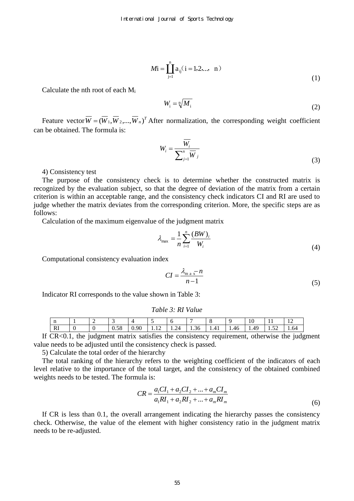$$
Mi = \prod_{j=1}^{n} a_{ij} (i = 1, 2, \dots, n)
$$
 (1)

Calculate the nth root of each  $M_i$ 

$$
W_{i} = \sqrt[n]{M_{i}}
$$
 (2)

Feature vector  $\overline{W} = (\overline{W}_1, \overline{W}_2, ..., \overline{W}_n)^T$  After normalization, the corresponding weight coefficient can be obtained. The formula is:

$$
W_i = \frac{W_i}{\sum_{j=1}^n \overline{W}_j}
$$
\n(3)

4) Consistency test

The purpose of the consistency check is to determine whether the constructed matrix is recognized by the evaluation subject, so that the degree of deviation of the matrix from a certain criterion is within an acceptable range, and the consistency check indicators CI and RI are used to judge whether the matrix deviates from the corresponding criterion. More, the specific steps are as follows:

Calculation of the maximum eigenvalue of the judgment matrix

$$
\lambda_{\max} = \frac{1}{n} \sum_{i=1}^{n} \frac{(BW)_i}{W_i}
$$
\n(4)

Computational consistency evaluation index

$$
CI = \frac{\lambda_{\text{m a x}} - n}{n - 1} \tag{5}
$$

Indicator RI corresponds to the value shown in Table 3:

*Table 3: RI Value* 

| $\mathbf{H}$ |      | -    |      |   | υ                  |      | ີ    |      | 1 V         |              | $\overline{\phantom{0}}$<br>$\overline{1}$ |
|--------------|------|------|------|---|--------------------|------|------|------|-------------|--------------|--------------------------------------------|
| . D"<br>K1   | - 12 | 0.58 | 0.90 | . | -<br>'⊿<br>$1.4 -$ | 1.36 | 1.41 | 1.46 | <b>4.49</b> | $-1$<br>1.JA | 1.64                                       |

If CR<0.1, the judgment matrix satisfies the consistency requirement, otherwise the judgment value needs to be adjusted until the consistency check is passed.

5) Calculate the total order of the hierarchy

The total ranking of the hierarchy refers to the weighting coefficient of the indicators of each level relative to the importance of the total target, and the consistency of the obtained combined weights needs to be tested. The formula is:

$$
CR = \frac{a_1 CI_1 + a_2 CI_2 + \dots + a_m CI_m}{a_1 RI_1 + a_2 RI_2 + \dots + a_m RI_m}
$$
\n(6)

If CR is less than 0.1, the overall arrangement indicating the hierarchy passes the consistency check. Otherwise, the value of the element with higher consistency ratio in the judgment matrix needs to be re-adjusted.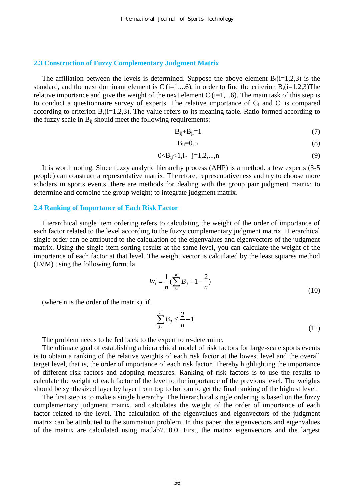#### **2.3 Construction of Fuzzy Complementary Judgment Matrix**

The affiliation between the levels is determined. Suppose the above element  $B_i(i=1,2,3)$  is the standard, and the next dominant element is  $C_i(i=1,...6)$ , in order to find the criterion  $B_i(i=1,2,3)$ The relative importance and give the weight of the next element  $C_i(i=1,...6)$ . The main task of this step is to conduct a questionnaire survey of experts. The relative importance of  $C_i$  and  $C_j$  is compared according to criterion  $B$ , (i=1,2,3). The value refers to its meaning table. Ratio formed according to the fuzzy scale in  $B_{ij}$  should meet the following requirements:

$$
B_{ij}+B_{ji}=1
$$
 (7)

$$
B_{ii}=0.5\tag{8}
$$

$$
0 < B_{ij} < 1, i, \quad j = 1, 2, \dots, n \tag{9}
$$

It is worth noting. Since fuzzy analytic hierarchy process (AHP) is a method. a few experts (3-5 people) can construct a representative matrix. Therefore, representativeness and try to choose more scholars in sports events. there are methods for dealing with the group pair judgment matrix: to determine and combine the group weight; to integrate judgment matrix.

## **2.4 Ranking of Importance of Each Risk Factor**

Hierarchical single item ordering refers to calculating the weight of the order of importance of each factor related to the level according to the fuzzy complementary judgment matrix. Hierarchical single order can be attributed to the calculation of the eigenvalues and eigenvectors of the judgment matrix. Using the single-item sorting results at the same level, you can calculate the weight of the importance of each factor at that level. The weight vector is calculated by the least squares method (LVM) using the following formula

$$
W_i = \frac{1}{n} \left( \sum_{j \cdot i}^{n} B_{ij} + 1 - \frac{2}{n} \right)
$$
 (10)

(where n is the order of the matrix), if

$$
\sum_{j \in I}^{n} B_{ij} \le \frac{2}{n} - 1 \tag{11}
$$

The problem needs to be fed back to the expert to re-determine.

The ultimate goal of establishing a hierarchical model of risk factors for large-scale sports events is to obtain a ranking of the relative weights of each risk factor at the lowest level and the overall target level, that is, the order of importance of each risk factor. Thereby highlighting the importance of different risk factors and adopting measures. Ranking of risk factors is to use the results to calculate the weight of each factor of the level to the importance of the previous level. The weights should be synthesized layer by layer from top to bottom to get the final ranking of the highest level.

The first step is to make a single hierarchy. The hierarchical single ordering is based on the fuzzy complementary judgment matrix, and calculates the weight of the order of importance of each factor related to the level. The calculation of the eigenvalues and eigenvectors of the judgment matrix can be attributed to the summation problem. In this paper, the eigenvectors and eigenvalues of the matrix are calculated using matlab7.10.0. First, the matrix eigenvectors and the largest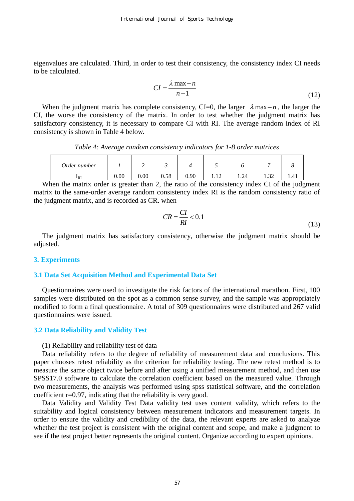eigenvalues are calculated. Third, in order to test their consistency, the consistency index CI needs to be calculated.

$$
CI = \frac{\lambda \max - n}{n - 1} \tag{12}
$$

When the judgment matrix has complete consistency, CI=0, the larger  $\lambda$  max $-n$ , the larger the CI, the worse the consistency of the matrix. In order to test whether the judgment matrix has satisfactory consistency, it is necessary to compare CI with RI. The average random index of RI consistency is shown in Table 4 below.

*Table 4: Average random consistency indicators for 1-8 order matrices* 

| Order number |      | . .  |      |      |   |      |               |      |
|--------------|------|------|------|------|---|------|---------------|------|
| $I_{\rm R}$  | 0.00 | 0.00 | 0.58 | 0.90 | . | 1.24 | $\sim$<br>ے ب | 1.71 |

When the matrix order is greater than 2, the ratio of the consistency index CI of the judgment matrix to the same-order average random consistency index RI is the random consistency ratio of the judgment matrix, and is recorded as CR. when

$$
CR = \frac{CI}{RI} < 0.1\tag{13}
$$

The judgment matrix has satisfactory consistency, otherwise the judgment matrix should be adjusted.

## **3. Experiments**

#### **3.1 Data Set Acquisition Method and Experimental Data Set**

Questionnaires were used to investigate the risk factors of the international marathon. First, 100 samples were distributed on the spot as a common sense survey, and the sample was appropriately modified to form a final questionnaire. A total of 309 questionnaires were distributed and 267 valid questionnaires were issued.

#### **3.2 Data Reliability and Validity Test**

#### (1) Reliability and reliability test of data

Data reliability refers to the degree of reliability of measurement data and conclusions. This paper chooses retest reliability as the criterion for reliability testing. The new retest method is to measure the same object twice before and after using a unified measurement method, and then use SPSS17.0 software to calculate the correlation coefficient based on the measured value. Through two measurements, the analysis was performed using spss statistical software, and the correlation coefficient r=0.97, indicating that the reliability is very good.

Data Validity and Validity Test Data validity test uses content validity, which refers to the suitability and logical consistency between measurement indicators and measurement targets. In order to ensure the validity and credibility of the data, the relevant experts are asked to analyze whether the test project is consistent with the original content and scope, and make a judgment to see if the test project better represents the original content. Organize according to expert opinions.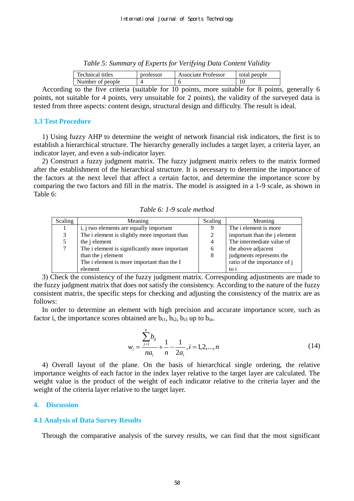*Table 5: Summary of Experts for Verifying Data Content Validity* 

| Technical titles | professor | Associate Professor | total people |
|------------------|-----------|---------------------|--------------|
| Number of people |           |                     |              |
|                  |           |                     |              |

According to the five criteria (suitable for 10 points, more suitable for 8 points, generally 6 points, not suitable for 4 points, very unsuitable for 2 points), the validity of the surveyed data is tested from three aspects: content design, structural design and difficulty. The result is ideal.

# **3.3 Test Procedure**

1) Using fuzzy AHP to determine the weight of network financial risk indicators, the first is to establish a hierarchical structure. The hierarchy generally includes a target layer, a criteria layer, an indicator layer, and even a sub-indicator layer.

2) Construct a fuzzy judgment matrix. The fuzzy judgment matrix refers to the matrix formed after the establishment of the hierarchical structure. It is necessary to determine the importance of the factors at the next level that affect a certain factor, and determine the importance score by comparing the two factors and fill in the matrix. The model is assigned in a 1-9 scale, as shown in Table 6:

*Table 6: 1-9 scale method* 

| Scaling | Meaning                                       | Scaling        | Meaning                             |
|---------|-----------------------------------------------|----------------|-------------------------------------|
|         | i, j two elements are equally important       | 9              | The <i>i</i> element is more        |
|         | The i element is slightly more important than | 2              | important than the <i>j</i> element |
|         | the <i>i</i> element                          | $\overline{4}$ | The intermediate value of           |
|         | The i element is significantly more important | 6              | the above adjacent                  |
|         | than the j element                            | 8              | judgments represents the            |
|         | The i element is more important than the I    |                | ratio of the importance of j        |
|         | element                                       |                | to i                                |

3) Check the consistency of the fuzzy judgment matrix. Corresponding adjustments are made to the fuzzy judgment matrix that does not satisfy the consistency. According to the nature of the fuzzy consistent matrix, the specific steps for checking and adjusting the consistency of the matrix are as follows:

In order to determine an element with high precision and accurate importance score, such as factor i, the importance scores obtained are  $b_{i1}$ ,  $b_{i2}$ ,  $b_{i3}$  up to  $b_{in}$ .

$$
w_i = \frac{\sum_{j=1}^{n} b_{ij}}{na_i} + \frac{1}{n} - \frac{1}{2a_i}, i = 1, 2, ..., n
$$
 (14)

4) Overall layout of the plane. On the basis of hierarchical single ordering, the relative importance weights of each factor in the index layer relative to the target layer are calculated. The weight value is the product of the weight of each indicator relative to the criteria layer and the weight of the criteria layer relative to the target layer.

# **4. Discussion**

# **4.1 Analysis of Data Survey Results**

Through the comparative analysis of the survey results, we can find that the most significant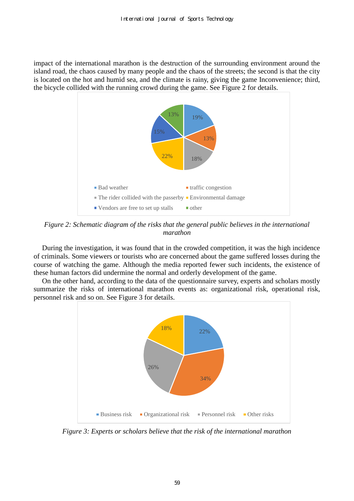impact of the international marathon is the destruction of the surrounding environment around the island road, the chaos caused by many people and the chaos of the streets; the second is that the city is located on the hot and humid sea, and the climate is rainy, giving the game Inconvenience; third, the bicycle collided with the running crowd during the game. See Figure 2 for details.



*Figure 2: Schematic diagram of the risks that the general public believes in the international marathon* 

During the investigation, it was found that in the crowded competition, it was the high incidence of criminals. Some viewers or tourists who are concerned about the game suffered losses during the course of watching the game. Although the media reported fewer such incidents, the existence of these human factors did undermine the normal and orderly development of the game.

On the other hand, according to the data of the questionnaire survey, experts and scholars mostly summarize the risks of international marathon events as: organizational risk, operational risk, personnel risk and so on. See Figure 3 for details.



*Figure 3: Experts or scholars believe that the risk of the international marathon*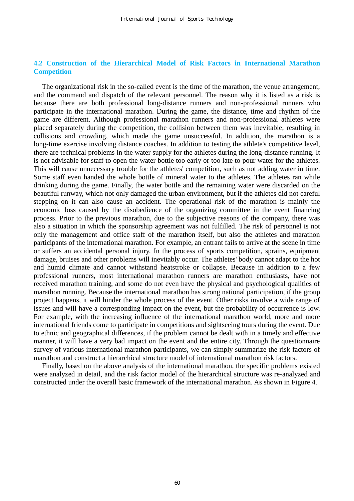# **4.2 Construction of the Hierarchical Model of Risk Factors in International Marathon Competition**

The organizational risk in the so-called event is the time of the marathon, the venue arrangement, and the command and dispatch of the relevant personnel. The reason why it is listed as a risk is because there are both professional long-distance runners and non-professional runners who participate in the international marathon. During the game, the distance, time and rhythm of the game are different. Although professional marathon runners and non-professional athletes were placed separately during the competition, the collision between them was inevitable, resulting in collisions and crowding, which made the game unsuccessful. In addition, the marathon is a long-time exercise involving distance coaches. In addition to testing the athlete's competitive level, there are technical problems in the water supply for the athletes during the long-distance running. It is not advisable for staff to open the water bottle too early or too late to pour water for the athletes. This will cause unnecessary trouble for the athletes' competition, such as not adding water in time. Some staff even handed the whole bottle of mineral water to the athletes. The athletes ran while drinking during the game. Finally, the water bottle and the remaining water were discarded on the beautiful runway, which not only damaged the urban environment, but if the athletes did not careful stepping on it can also cause an accident. The operational risk of the marathon is mainly the economic loss caused by the disobedience of the organizing committee in the event financing process. Prior to the previous marathon, due to the subjective reasons of the company, there was also a situation in which the sponsorship agreement was not fulfilled. The risk of personnel is not only the management and office staff of the marathon itself, but also the athletes and marathon participants of the international marathon. For example, an entrant fails to arrive at the scene in time or suffers an accidental personal injury. In the process of sports competition, sprains, equipment damage, bruises and other problems will inevitably occur. The athletes' body cannot adapt to the hot and humid climate and cannot withstand heatstroke or collapse. Because in addition to a few professional runners, most international marathon runners are marathon enthusiasts, have not received marathon training, and some do not even have the physical and psychological qualities of marathon running. Because the international marathon has strong national participation, if the group project happens, it will hinder the whole process of the event. Other risks involve a wide range of issues and will have a corresponding impact on the event, but the probability of occurrence is low. For example, with the increasing influence of the international marathon world, more and more international friends come to participate in competitions and sightseeing tours during the event. Due to ethnic and geographical differences, if the problem cannot be dealt with in a timely and effective manner, it will have a very bad impact on the event and the entire city. Through the questionnaire survey of various international marathon participants, we can simply summarize the risk factors of marathon and construct a hierarchical structure model of international marathon risk factors.

Finally, based on the above analysis of the international marathon, the specific problems existed were analyzed in detail, and the risk factor model of the hierarchical structure was re-analyzed and constructed under the overall basic framework of the international marathon. As shown in Figure 4.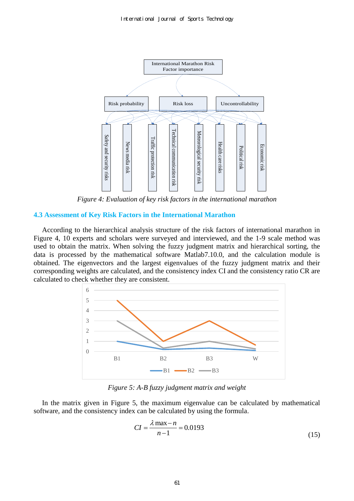

*Figure 4: Evaluation of key risk factors in the international marathon* 

# **4.3 Assessment of Key Risk Factors in the International Marathon**

According to the hierarchical analysis structure of the risk factors of international marathon in Figure 4, 10 experts and scholars were surveyed and interviewed, and the 1-9 scale method was used to obtain the matrix. When solving the fuzzy judgment matrix and hierarchical sorting, the data is processed by the mathematical software Matlab7.10.0, and the calculation module is obtained. The eigenvectors and the largest eigenvalues of the fuzzy judgment matrix and their corresponding weights are calculated, and the consistency index CI and the consistency ratio CR are calculated to check whether they are consistent.



*Figure 5: A-B fuzzy judgment matrix and weight* 

In the matrix given in Figure 5, the maximum eigenvalue can be calculated by mathematical software, and the consistency index can be calculated by using the formula.

$$
CI = \frac{\lambda \max - n}{n - 1} = 0.0193
$$
\n(15)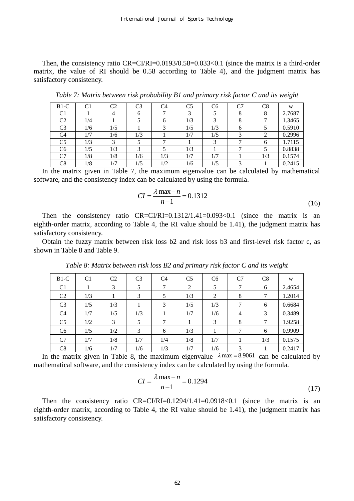Then, the consistency ratio  $CR = CI/RI = 0.0193/0.58 = 0.033 < 0.1$  (since the matrix is a third-order matrix, the value of RI should be 0.58 according to Table 4), and the judgment matrix has satisfactory consistency.

| $B1-C$         | $\rm C1$ | C2  | C3  | C4  | C <sub>5</sub> | C6  | C7 | C8  | W      |
|----------------|----------|-----|-----|-----|----------------|-----|----|-----|--------|
| C1             |          |     |     |     |                |     |    |     | 2.7687 |
| C2             | /4       |     |     | h   | 1/3            |     |    |     | 1.3465 |
| C3             | 1/6      | 1/5 |     |     | 1/5            | 1/3 | h  |     | 0.5910 |
| C4             |          | 1/6 | 1/3 |     | 1/7            | 1/5 |    |     | 0.2996 |
| C <sub>5</sub> | 1/3      | 2   |     |     |                |     |    | h   | 1.7115 |
| C <sub>6</sub> | 1/5      | 1/3 |     |     | 1/3            |     |    |     | 0.8838 |
| C7             | 1/8      | 1/8 | 1/6 | 1/3 | 1/7            | 1/7 |    | 1/3 | 0.1574 |
| $_{\rm C8}$    | /8       |     | 1/5 | 1/2 | 1/6            | 1/5 |    |     | 0.2415 |

*Table 7: Matrix between risk probability B1 and primary risk factor C and its weight* 

In the matrix given in Table 7, the maximum eigenvalue can be calculated by mathematical software, and the consistency index can be calculated by using the formula.

$$
CI = \frac{\lambda \max - n}{n - 1} = 0.1312
$$
\n(16)

Then the consistency ratio CR=CI/RI=0.1312/1.41=0.093<0.1 (since the matrix is an eighth-order matrix, according to Table 4, the RI value should be 1.41), the judgment matrix has satisfactory consistency.

Obtain the fuzzy matrix between risk loss b2 and risk loss b3 and first-level risk factor c, as shown in Table 8 and Table 9.

| $B1-C$         | C <sub>1</sub> | C <sub>2</sub> | C <sub>3</sub> | C4  | C <sub>5</sub> | C <sub>6</sub> | C7             | C8  | W      |
|----------------|----------------|----------------|----------------|-----|----------------|----------------|----------------|-----|--------|
| C <sub>1</sub> |                | 3              | 5              | ⇁   | 2              | 5              | 7              | 6   | 2.4654 |
| C <sub>2</sub> | 1/3            |                | 3              | 5   | 1/3            | 2              | 8              | 7   | 1.2014 |
| C <sub>3</sub> | 1/5            | 1/3            |                | 3   | 1/5            | 1/3            |                | 6   | 0.6684 |
| C <sub>4</sub> | 1/7            | 1/5            | 1/3            |     | 1/7            | 1/6            | $\overline{4}$ | 3   | 0.3489 |
| C <sub>5</sub> | 1/2            | 3              | 5              | ⇁   |                | 3              | 8              | 7   | 1.9258 |
| C <sub>6</sub> | 1/5            | 1/2            | 3              | 6   | 1/3            |                | ⇁              | 6   | 0.9909 |
| C7             | 1/7            | 1/8            | 1/7            | 1/4 | 1/8            | 1/7            |                | 1/3 | 0.1575 |
| C8             | 1/6            | 1/7            | 1/6            | 1/3 | 1/7            | 1/6            | 3              |     | 0.2417 |

*Table 8: Matrix between risk loss B2 and primary risk factor C and its weight* 

In the matrix given in Table 8, the maximum eigenvalue  $\lambda$  max = 8.9061 can be calculated by mathematical software, and the consistency index can be calculated by using the formula.

$$
CI = \frac{\lambda \max - n}{n - 1} = 0.1294
$$
\n(17)

Then the consistency ratio  $CR = C1/RI = 0.1294/1.41 = 0.0918 < 0.1$  (since the matrix is an eighth-order matrix, according to Table 4, the RI value should be 1.41), the judgment matrix has satisfactory consistency.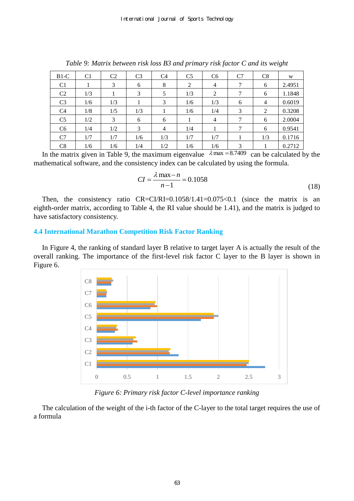| $B1-C$         | C <sub>1</sub> | C <sub>2</sub> | C <sub>3</sub> | C <sub>4</sub> | C <sub>5</sub> | C <sub>6</sub> | C7 | C8  | W      |
|----------------|----------------|----------------|----------------|----------------|----------------|----------------|----|-----|--------|
| C <sub>1</sub> |                | 3              | 6              | 8              | 2              | $\overline{4}$ | 7  | 6   | 2.4951 |
| C <sub>2</sub> | 1/3            |                | 3              | 5              | 1/3            | 2              | 7  | 6   | 1.1848 |
| C <sub>3</sub> | 1/6            | 1/3            |                | 3              | 1/6            | 1/3            | 6  | 4   | 0.6019 |
| C <sub>4</sub> | 1/8            | 1/5            | 1/3            |                | 1/6            | 1/4            | 3  | 2   | 0.3208 |
| C <sub>5</sub> | 1/2            | 3              | 6              | 6              |                | $\overline{4}$ | 7  | 6   | 2.0004 |
| C6             | 1/4            | 1/2            | 3              | $\overline{4}$ | 1/4            |                | 7  | 6   | 0.9541 |
| C7             | 1/7            | 1/7            | 1/6            | 1/3            | 1/7            | 1/7            |    | 1/3 | 0.1716 |
| C8             | 1/6            | 1/6            | 1/4            | 1/2            | 1/6            | 1/6            | 3  |     | 0.2712 |

*Table 9: Matrix between risk loss B3 and primary risk factor C and its weight*

In the matrix given in Table 9, the maximum eigenvalue  $\lambda$  max = 8.7409 can be calculated by the mathematical software, and the consistency index can be calculated by using the formula.

$$
CI = \frac{\lambda \max - n}{n - 1} = 0.1058
$$
\n(18)

Then, the consistency ratio CR=CI/RI=0.1058/1.41=0.075<0.1 (since the matrix is an eighth-order matrix, according to Table 4, the RI value should be 1.41), and the matrix is judged to have satisfactory consistency.

# **4.4 International Marathon Competition Risk Factor Ranking**

In Figure 4, the ranking of standard layer B relative to target layer A is actually the result of the overall ranking. The importance of the first-level risk factor C layer to the B layer is shown in Figure 6.



*Figure 6: Primary risk factor C-level importance ranking* 

The calculation of the weight of the i-th factor of the C-layer to the total target requires the use of a formula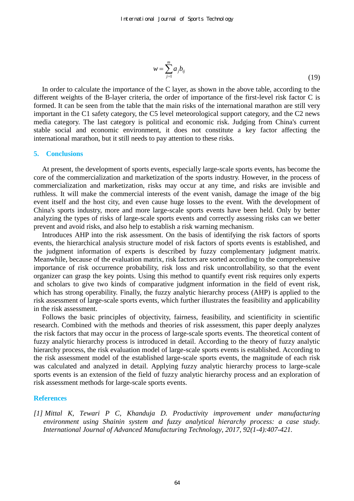$$
w = \sum_{j=1}^{m} a_j b_{ij}
$$
 (19)

In order to calculate the importance of the C layer, as shown in the above table, according to the different weights of the B-layer criteria, the order of importance of the first-level risk factor C is formed. It can be seen from the table that the main risks of the international marathon are still very important in the C1 safety category, the C5 level meteorological support category, and the C2 news media category. The last category is political and economic risk. Judging from China's current stable social and economic environment, it does not constitute a key factor affecting the international marathon, but it still needs to pay attention to these risks.

#### **5. Conclusions**

At present, the development of sports events, especially large-scale sports events, has become the core of the commercialization and marketization of the sports industry. However, in the process of commercialization and marketization, risks may occur at any time, and risks are invisible and ruthless. It will make the commercial interests of the event vanish, damage the image of the big event itself and the host city, and even cause huge losses to the event. With the development of China's sports industry, more and more large-scale sports events have been held. Only by better analyzing the types of risks of large-scale sports events and correctly assessing risks can we better prevent and avoid risks, and also help to establish a risk warning mechanism.

Introduces AHP into the risk assessment. On the basis of identifying the risk factors of sports events, the hierarchical analysis structure model of risk factors of sports events is established, and the judgment information of experts is described by fuzzy complementary judgment matrix. Meanwhile, because of the evaluation matrix, risk factors are sorted according to the comprehensive importance of risk occurrence probability, risk loss and risk uncontrollability, so that the event organizer can grasp the key points. Using this method to quantify event risk requires only experts and scholars to give two kinds of comparative judgment information in the field of event risk, which has strong operability. Finally, the fuzzy analytic hierarchy process (AHP) is applied to the risk assessment of large-scale sports events, which further illustrates the feasibility and applicability in the risk assessment.

Follows the basic principles of objectivity, fairness, feasibility, and scientificity in scientific research. Combined with the methods and theories of risk assessment, this paper deeply analyzes the risk factors that may occur in the process of large-scale sports events. The theoretical content of fuzzy analytic hierarchy process is introduced in detail. According to the theory of fuzzy analytic hierarchy process, the risk evaluation model of large-scale sports events is established. According to the risk assessment model of the established large-scale sports events, the magnitude of each risk was calculated and analyzed in detail. Applying fuzzy analytic hierarchy process to large-scale sports events is an extension of the field of fuzzy analytic hierarchy process and an exploration of risk assessment methods for large-scale sports events.

#### **References**

*[1] Mittal K, Tewari P C, Khanduja D. Productivity improvement under manufacturing environment using Shainin system and fuzzy analytical hierarchy process: a case study. International Journal of Advanced Manufacturing Technology, 2017, 92(1-4):407-421.*